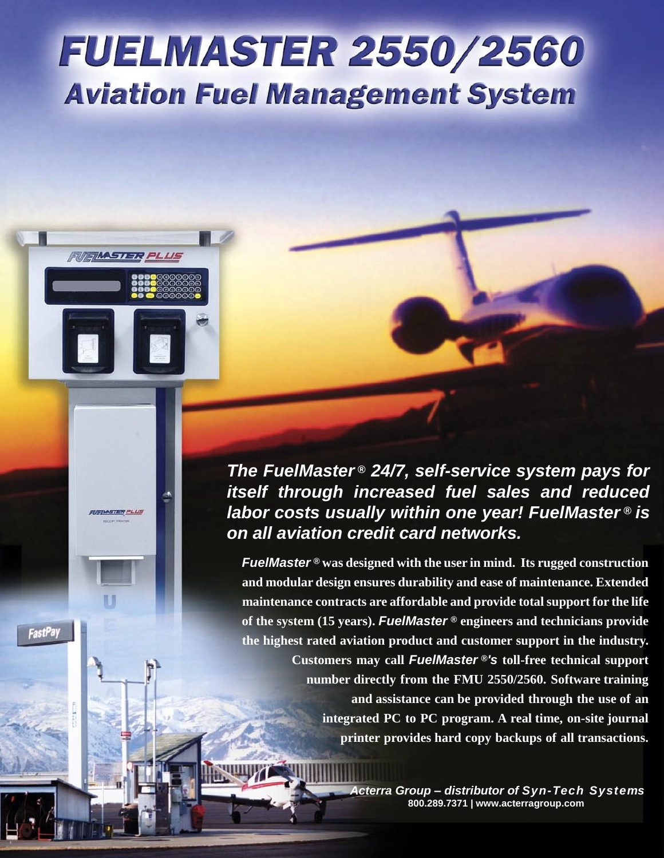## **FUELMASTER 2550/2560 Aviation Fuel Management System**

**FUIFIMASTER PLUS** 

**STERP** 

**FastPay** 

*The FuelMaster ® 24/7, self-service system pays for itself through increased fuel sales and reduced labor costs usually within one year! FuelMaster<sup>®</sup> is on all aviation credit card networks.*

*FuelMaster* **® was designed with the user in mind. Its rugged construction and modular design ensures durability and ease of maintenance. Extended maintenance contracts are affordable and provide total support for the life of the system (15 years).** *FuelMaster* **® engineers and technicians provide the highest rated aviation product and customer support in the industry. Customers may call** *FuelMaster* **®***'s* **toll-free technical support number directly from the FMU 2550/2560. Software training and assistance can be provided through the use of an integrated PC to PC program. A real time, on-site journal printer provides hard copy backups of all transactions.**

> *Acterra Group – distributor of Syn-Tech Systems* **800.289.7371 | www.acterragroup.com**